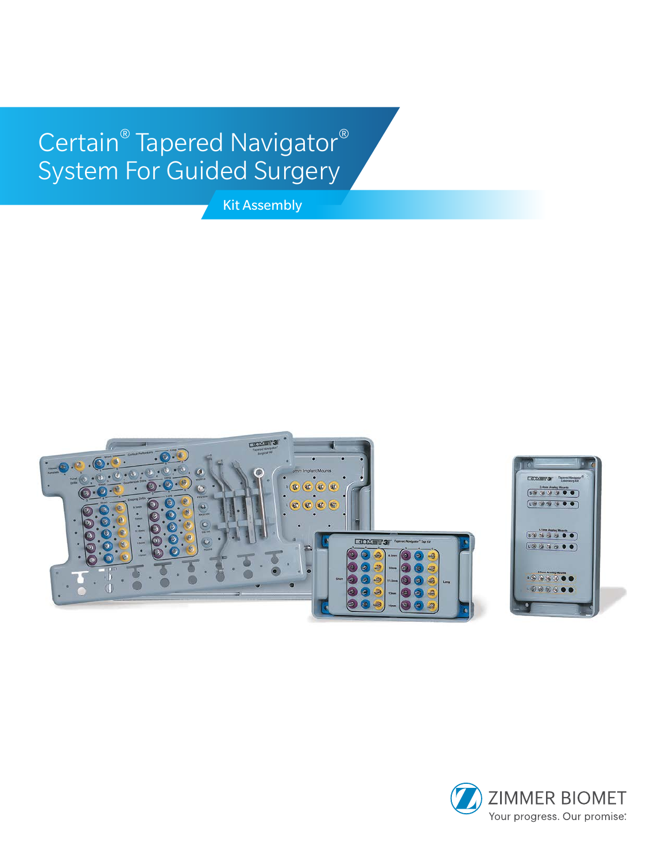# Certain® Tapered Navigator® System For Guided Surgery

Kit Assembly



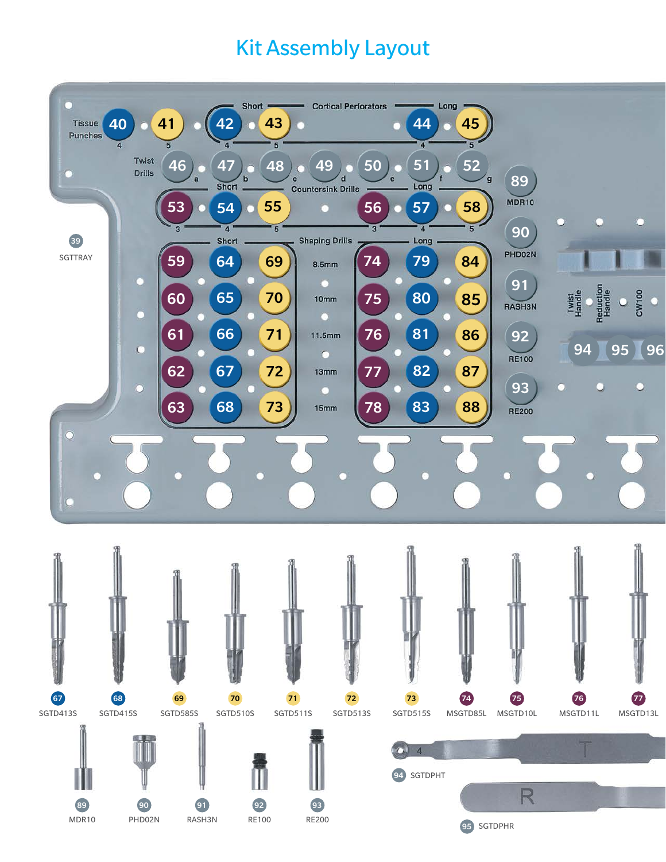### Kit Assembly Layout

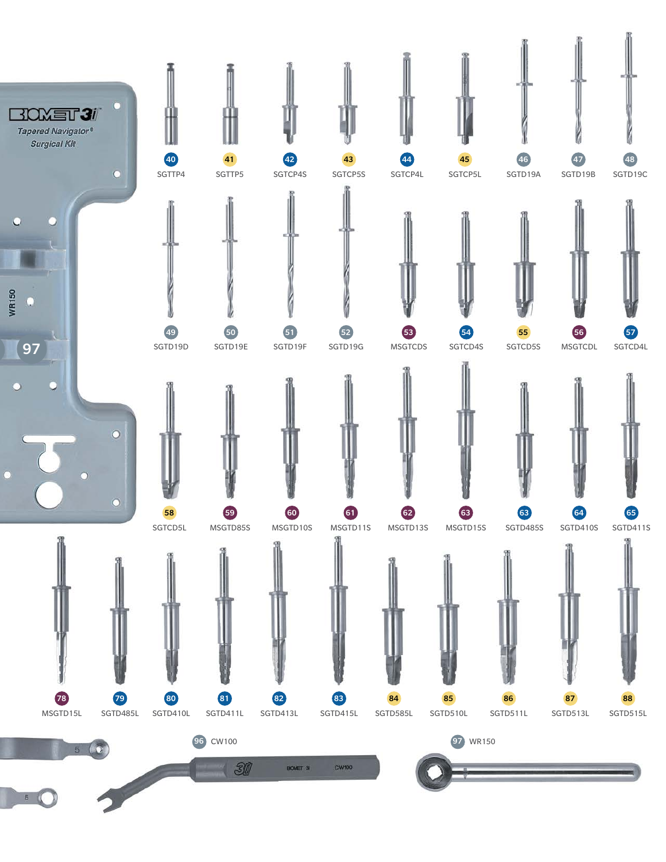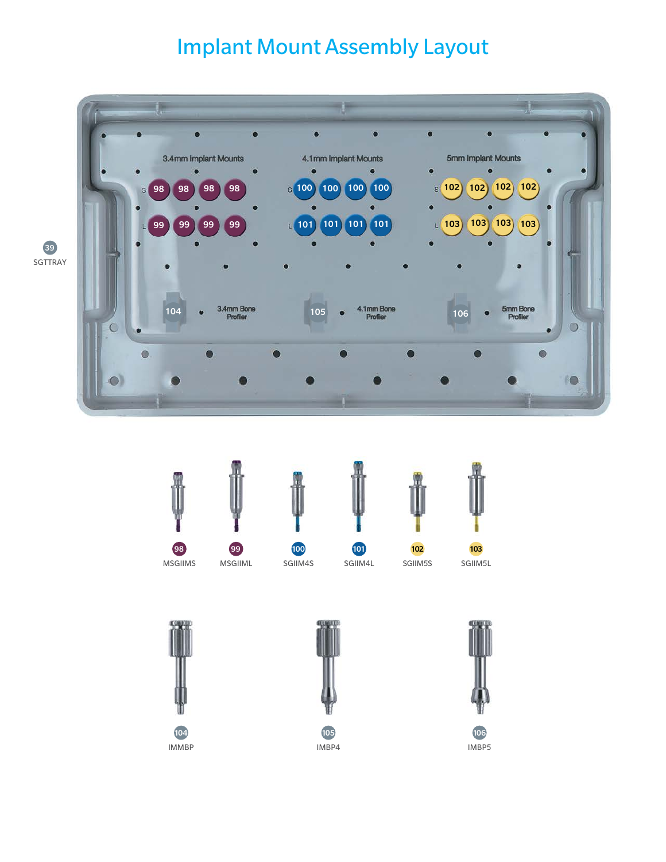## Implant Mount Assembly Layout













IMBP5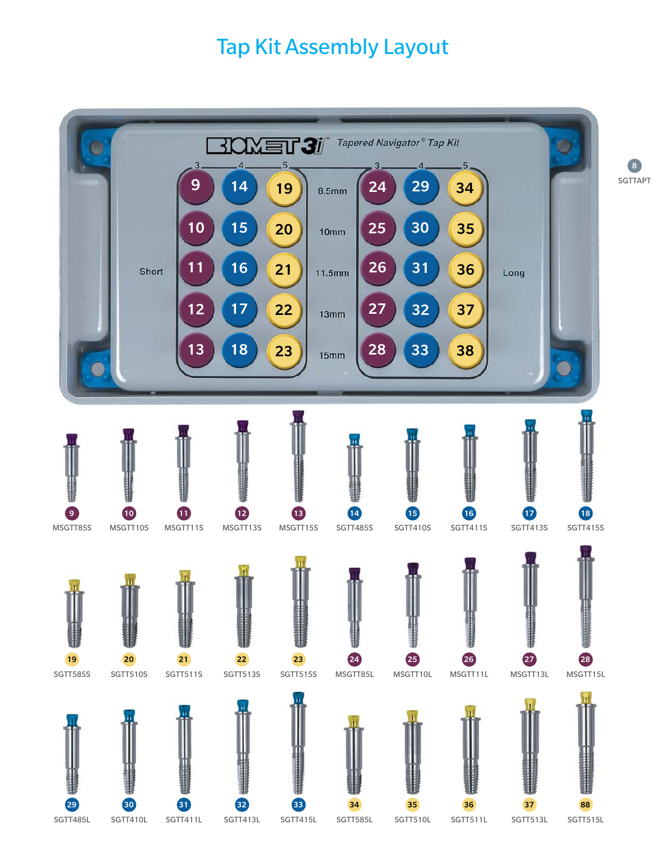#### Tap Kit Assembly Layout

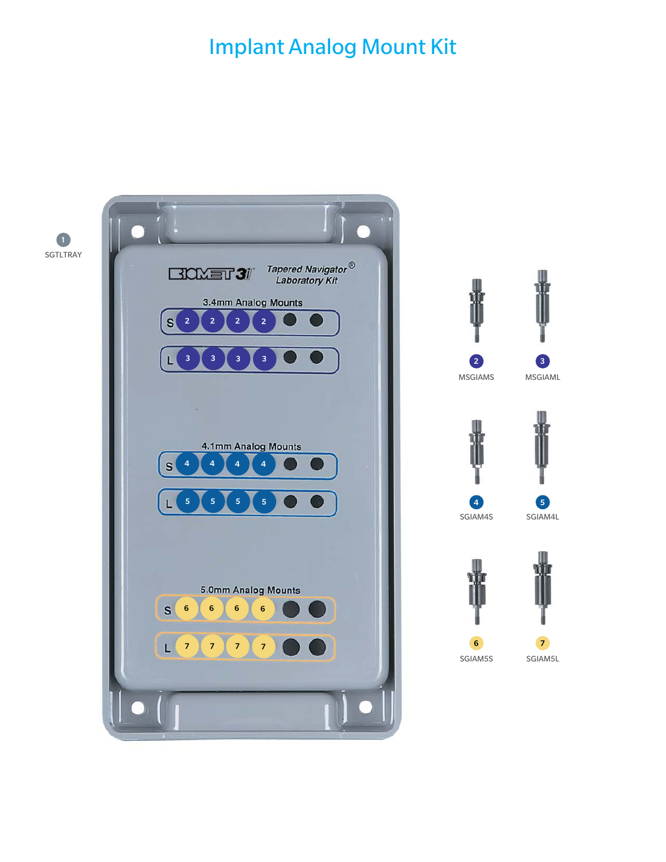#### Implant Analog Mount Kit

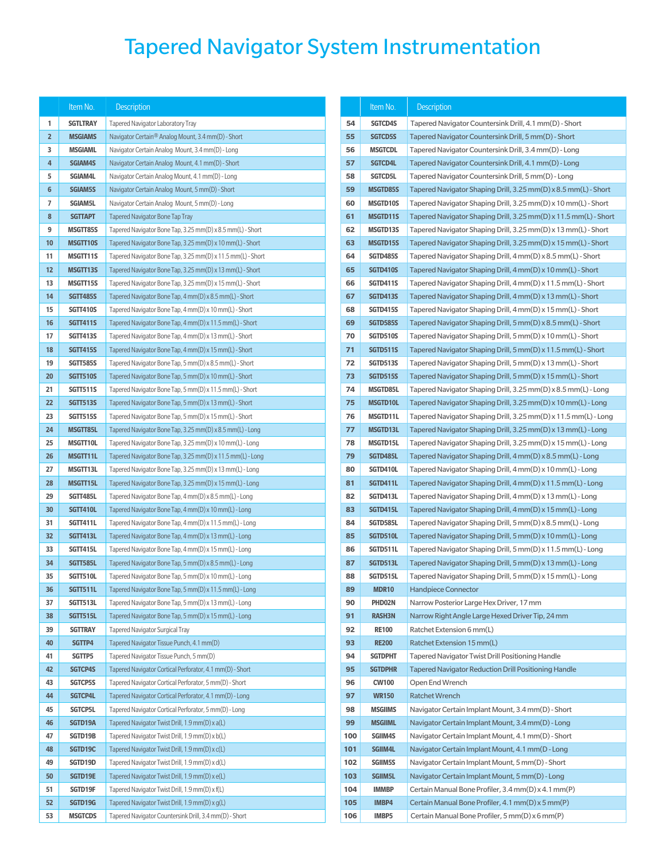## Tapered Navigator System Instrumentation

|                 | Item No.                 | Description                                                                                                        |          | Item No.                       | <b>Description</b>                                               |  |
|-----------------|--------------------------|--------------------------------------------------------------------------------------------------------------------|----------|--------------------------------|------------------------------------------------------------------|--|
| 1               | <b>SGTLTRAY</b>          | Tapered Navigator Laboratory Tray                                                                                  | 54       | SGTCD4S                        | Tapered Navigator Countersink Drill, 4.1 mm(D) - Short           |  |
| $\overline{2}$  | <b>MSGIAMS</b>           | Navigator Certain <sup>®</sup> Analog Mount, 3.4 mm(D) - Short                                                     | 55       | <b>SGTCD5S</b>                 | Tapered Navigator Countersink Drill, 5 mm(D) - Short             |  |
| 3               | <b>MSGIAML</b>           | Navigator Certain Analog Mount, 3.4 mm(D) - Long                                                                   | 56       | <b>MSGTCDL</b>                 | Tapered Navigator Countersink Drill, 3.4 mm(D) - Long            |  |
| $\overline{4}$  | <b>SGIAM4S</b>           | Navigator Certain Analog Mount, 4.1 mm(D) - Short                                                                  | 57       | <b>SGTCD4L</b>                 | Tapered Navigator Countersink Drill, 4.1 mm(D) - Long            |  |
| 5               | SGIAM4L                  | Navigator Certain Analog Mount, 4.1 mm(D) - Long                                                                   | 58       | <b>SGTCD5L</b>                 | Tapered Navigator Countersink Drill, 5 mm(D) - Long              |  |
| $6\phantom{1}6$ | <b>SGIAM5S</b>           | Navigator Certain Analog Mount, 5 mm(D) - Short                                                                    | 59       | <b>MSGTD85S</b>                | Tapered Navigator Shaping Drill, 3.25 mm(D) x 8.5 mm(L) - Short  |  |
| 7               | <b>SGIAM5L</b>           | Navigator Certain Analog Mount, 5 mm(D) - Long                                                                     | 60       | <b>MSGTD10S</b>                | Tapered Navigator Shaping Drill, 3.25 mm(D) x 10 mm(L) - Short   |  |
| 8               | <b>SGTTAPT</b>           | <b>Tapered Navigator Bone Tap Tray</b>                                                                             | 61       | <b>MSGTD11S</b>                | Tapered Navigator Shaping Drill, 3.25 mm(D) x 11.5 mm(L) - Short |  |
| 9               | MSGTT85S                 | Tapered Navigator Bone Tap, 3.25 mm(D) x 8.5 mm(L) - Short                                                         | 62       | <b>MSGTD13S</b>                | Tapered Navigator Shaping Drill, 3.25 mm(D) x 13 mm(L) - Short   |  |
| 10              | MSGTT10S                 | Tapered Navigator Bone Tap, 3.25 mm(D) x 10 mm(L) - Short                                                          | 63       | <b>MSGTD15S</b>                | Tapered Navigator Shaping Drill, 3.25 mm(D) x 15 mm(L) - Short   |  |
| 11              | MSGTT11S                 | Tapered Navigator Bone Tap, 3.25 mm(D) x 11.5 mm(L) - Short                                                        | 64       | <b>SGTD485S</b>                | Tapered Navigator Shaping Drill, 4 mm(D) x 8.5 mm(L) - Short     |  |
| 12              | MSGTT13S                 | Tapered Navigator Bone Tap, 3.25 mm(D) x 13 mm(L) - Short                                                          | 65       | <b>SGTD410S</b>                | Tapered Navigator Shaping Drill, 4 mm(D) x 10 mm(L) - Short      |  |
| 13              | MSGTT15S                 | Tapered Navigator Bone Tap, 3.25 mm(D) x 15 mm(L) - Short                                                          | 66       | <b>SGTD411S</b>                | Tapered Navigator Shaping Drill, 4 mm(D) x 11.5 mm(L) - Short    |  |
| 14              | <b>SGTT485S</b>          | Tapered Navigator Bone Tap, 4 mm(D) x 8.5 mm(L) - Short                                                            | 67       | <b>SGTD413S</b>                | Tapered Navigator Shaping Drill, 4 mm(D) x 13 mm(L) - Short      |  |
| 15              | <b>SGTT410S</b>          | Tapered Navigator Bone Tap, 4 mm(D) x 10 mm(L) - Short                                                             | 68       | <b>SGTD415S</b>                | Tapered Navigator Shaping Drill, 4 mm(D) x 15 mm(L) - Short      |  |
| 16              | <b>SGTT411S</b>          | Tapered Navigator Bone Tap, 4 mm(D) x 11.5 mm(L) - Short                                                           | 69       | <b>SGTD585S</b>                | Tapered Navigator Shaping Drill, 5 mm(D) x 8.5 mm(L) - Short     |  |
| 17              | <b>SGTT413S</b>          | Tapered Navigator Bone Tap, 4 mm(D) x 13 mm(L) - Short                                                             | 70       | <b>SGTD510S</b>                | Tapered Navigator Shaping Drill, 5 mm(D) x 10 mm(L) - Short      |  |
| 18              | <b>SGTT415S</b>          | Tapered Navigator Bone Tap, 4 mm(D) x 15 mm(L) - Short                                                             | 71       | <b>SGTD511S</b>                | Tapered Navigator Shaping Drill, 5 mm(D) x 11.5 mm(L) - Short    |  |
| 19              | <b>SGTT585S</b>          | Tapered Navigator Bone Tap, 5 mm(D) x 8.5 mm(L) - Short                                                            | 72       | <b>SGTD513S</b>                | Tapered Navigator Shaping Drill, 5 mm(D) x 13 mm(L) - Short      |  |
| 20              | <b>SGTT510S</b>          | Tapered Navigator Bone Tap, 5 mm(D) x 10 mm(L) - Short                                                             | 73       | <b>SGTD515S</b>                | Tapered Navigator Shaping Drill, 5 mm(D) x 15 mm(L) - Short      |  |
| 21              | <b>SGTT511S</b>          | Tapered Navigator Bone Tap, 5 mm(D) x 11.5 mm(L) - Short                                                           | 74       | MSGTD85L                       | Tapered Navigator Shaping Drill, 3.25 mm(D) x 8.5 mm(L) - Long   |  |
| 22              | <b>SGTT513S</b>          | Tapered Navigator Bone Tap, 5 mm(D) x 13 mm(L) - Short                                                             | 75       | <b>MSGTD10L</b>                | Tapered Navigator Shaping Drill, 3.25 mm(D) x 10 mm(L) - Long    |  |
| 23              | <b>SGTT515S</b>          | Tapered Navigator Bone Tap, 5 mm(D) x 15 mm(L) - Short                                                             | 76       | MSGTD11L                       | Tapered Navigator Shaping Drill, 3.25 mm(D) x 11.5 mm(L) - Long  |  |
| 24              | MSGTT85L                 | Tapered Navigator Bone Tap, 3.25 mm(D) x 8.5 mm(L) - Long                                                          | 77       | <b>MSGTD13L</b>                | Tapered Navigator Shaping Drill, 3.25 mm(D) x 13 mm(L) - Long    |  |
| 25              | MSGTT10L                 | Tapered Navigator Bone Tap, 3.25 mm(D) x 10 mm(L) - Long                                                           | 78       | MSGTD15L                       | Tapered Navigator Shaping Drill, 3.25 mm(D) x 15 mm(L) - Long    |  |
| 26              | MSGTT11L                 | Tapered Navigator Bone Tap, 3.25 mm(D) x 11.5 mm(L) - Long                                                         | 79       | SGTD485L                       | Tapered Navigator Shaping Drill, 4 mm(D) x 8.5 mm(L) - Long      |  |
| 27              | MSGTT13L                 | Tapered Navigator Bone Tap, 3.25 mm(D) x 13 mm(L) - Long                                                           | 80       | SGTD410L                       | Tapered Navigator Shaping Drill, 4 mm(D) x 10 mm(L) - Long       |  |
| 28              | MSGTT15L                 | Tapered Navigator Bone Tap, 3.25 mm(D) x 15 mm(L) - Long                                                           | 81       | SGTD411L                       | Tapered Navigator Shaping Drill, 4 mm(D) x 11.5 mm(L) - Long     |  |
| 29              | <b>SGTT485L</b>          | Tapered Navigator Bone Tap, 4 mm(D) x 8.5 mm(L) - Long                                                             | 82       | SGTD413L                       | Tapered Navigator Shaping Drill, 4 mm(D) x 13 mm(L) - Long       |  |
| 30              | <b>SGTT410L</b>          | Tapered Navigator Bone Tap, 4 mm(D) x 10 mm(L) - Long                                                              | 83       | SGTD415L                       | Tapered Navigator Shaping Drill, 4 mm(D) x 15 mm(L) - Long       |  |
| 31              | <b>SGTT411L</b>          | Tapered Navigator Bone Tap, 4 mm(D) x 11.5 mm(L) - Long                                                            | 84       | SGTD585L                       | Tapered Navigator Shaping Drill, 5 mm(D) x 8.5 mm(L) - Long      |  |
| 32              | <b>SGTT413L</b>          | Tapered Navigator Bone Tap, 4 mm(D) x 13 mm(L) - Long                                                              | 85       | SGTD510L                       | Tapered Navigator Shaping Drill, 5 mm(D) x 10 mm(L) - Long       |  |
| 33              | <b>SGTT415L</b>          | Tapered Navigator Bone Tap, 4 mm(D) x 15 mm(L) - Long                                                              | 86       | SGTD511L                       | Tapered Navigator Shaping Drill, 5 mm(D) x 11.5 mm(L) - Long     |  |
| 34              | <b>SGTT585L</b>          | Tapered Navigator Bone Tap, 5 mm(D) x 8.5 mm(L) - Long                                                             | 87       | SGTD513L                       | Tapered Navigator Shaping Drill, 5 mm(D) x 13 mm(L) - Long       |  |
| 35              | <b>SGTT510L</b>          | Tapered Navigator Bone Tap, 5 mm(D) x 10 mm(L) - Long                                                              | 88       | SGTD515L                       | Tapered Navigator Shaping Drill, 5 mm(D) x 15 mm(L) - Long       |  |
| 36              | SGTT511L                 | Tapered Navigator Bone Tap, 5 mm(D) x 11.5 mm(L) - Long                                                            | 89       | MDR <sub>10</sub>              | <b>Handpiece Connector</b>                                       |  |
| 37              | SGTT513L                 | Tapered Navigator Bone Tap, 5 mm(D) x 13 mm(L) - Long                                                              | 90       | PHD02N                         | Narrow Posterior Large Hex Driver, 17 mm                         |  |
| 38              | <b>SGTT515L</b>          | Tapered Navigator Bone Tap, 5 mm(D) x 15 mm(L) - Long                                                              | 91       | <b>RASH3N</b>                  | Narrow Right Angle Large Hexed Driver Tip, 24 mm                 |  |
| 39              | <b>SGTTRAY</b>           | <b>Tapered Navigator Surgical Tray</b>                                                                             | 92       | <b>RE100</b>                   | Ratchet Extension 6 mm(L)                                        |  |
| 40              | SGTTP4                   | Tapered Navigator Tissue Punch, 4.1 mm(D)                                                                          | 93       | <b>RE200</b>                   | Ratchet Extension 15 mm(L)                                       |  |
| 41              | SGTTP5<br><b>SGTCP4S</b> | Tapered Navigator Tissue Punch, 5 mm(D)                                                                            | 94       | <b>SGTDPHT</b>                 | Tapered Navigator Twist Drill Positioning Handle                 |  |
| 42<br>43        | <b>SGTCP5S</b>           | Tapered Navigator Cortical Perforator, 4.1 mm(D) - Short<br>Tapered Navigator Cortical Perforator, 5 mm(D) - Short | 95<br>96 | <b>SGTDPHR</b><br><b>CW100</b> | Tapered Navigator Reduction Drill Positioning Handle             |  |
| 44              | SGTCP4L                  | Tapered Navigator Cortical Perforator, 4.1 mm(D) - Long                                                            | 97       | <b>WR150</b>                   | Open End Wrench<br><b>Ratchet Wrench</b>                         |  |
| 45              | <b>SGTCP5L</b>           | Tapered Navigator Cortical Perforator, 5 mm(D) - Long                                                              | 98       | <b>MSGIIMS</b>                 | Navigator Certain Implant Mount, 3.4 mm(D) - Short               |  |
| 46              | SGTD19A                  | Tapered Navigator Twist Drill, 1.9 mm(D) x a(L)                                                                    | 99       | <b>MSGIIML</b>                 | Navigator Certain Implant Mount, 3.4 mm(D) - Long                |  |
| 47              | SGTD19B                  | Tapered Navigator Twist Drill, 1.9 mm(D) x b(L)                                                                    | 100      | SGIIM4S                        | Navigator Certain Implant Mount, 4.1 mm(D) - Short               |  |
| 48              | SGTD19C                  | Tapered Navigator Twist Drill, 1.9 mm(D) x c(L)                                                                    | 101      | SGIIM4L                        | Navigator Certain Implant Mount, 4.1 mm(D - Long                 |  |
| 49              | SGTD19D                  | Tapered Navigator Twist Drill, 1.9 mm(D) x d(L)                                                                    | 102      | <b>SGIIM5S</b>                 | Navigator Certain Implant Mount, 5 mm(D) - Short                 |  |
| 50              | SGTD19E                  | Tapered Navigator Twist Drill, 1.9 mm(D) x e(L)                                                                    | 103      | <b>SGIIM5L</b>                 | Navigator Certain Implant Mount, 5 mm(D) - Long                  |  |
| 51              | SGTD19F                  | Tapered Navigator Twist Drill, 1.9 mm(D) x f(L)                                                                    | 104      | <b>IMMBP</b>                   | Certain Manual Bone Profiler, 3.4 mm(D) x 4.1 mm(P)              |  |
| 52              | SGTD19G                  | Tapered Navigator Twist Drill, 1.9 mm(D) x g(L)                                                                    | 105      | IMBP4                          | Certain Manual Bone Profiler, 4.1 mm(D) x 5 mm(P)                |  |
| 53              | <b>MSGTCDS</b>           | Tapered Navigator Countersink Drill, 3.4 mm(D) - Short                                                             | 106      | <b>IMBP5</b>                   | Certain Manual Bone Profiler, 5 mm(D) x 6 mm(P)                  |  |

|          | Item No.                    | <b>Description</b>                                                                |  |  |
|----------|-----------------------------|-----------------------------------------------------------------------------------|--|--|
| 54       | SGTCD4S                     | Tapered Navigator Countersink Drill, 4.1 mm(D) - Short                            |  |  |
| 55       | SGTCD5S                     | Tapered Navigator Countersink Drill, 5 mm(D) - Short                              |  |  |
| 56       | <b>MSGTCDL</b>              | Tapered Navigator Countersink Drill, 3.4 mm(D) - Long                             |  |  |
| 57       | <b>SGTCD4L</b>              | Tapered Navigator Countersink Drill, 4.1 mm(D) - Long                             |  |  |
| 58       | <b>SGTCD5L</b>              | Tapered Navigator Countersink Drill, 5 mm(D) - Long                               |  |  |
| 59       | <b>MSGTD85S</b>             | Tapered Navigator Shaping Drill, 3.25 mm(D) x 8.5 mm(L) - Short                   |  |  |
| 60       | <b>MSGTD10S</b>             | Tapered Navigator Shaping Drill, 3.25 mm(D) x 10 mm(L) - Short                    |  |  |
| 61       | <b>MSGTD11S</b>             | Tapered Navigator Shaping Drill, 3.25 mm(D) x 11.5 mm(L) - Short                  |  |  |
| 62       | <b>MSGTD13S</b>             | Tapered Navigator Shaping Drill, 3.25 mm(D) x 13 mm(L) - Short                    |  |  |
| 63       | <b>MSGTD15S</b>             | Tapered Navigator Shaping Drill, 3.25 mm(D) x 15 mm(L) - Short                    |  |  |
| 64       | <b>SGTD485S</b>             | Tapered Navigator Shaping Drill, 4 mm(D) x 8.5 mm(L) - Short                      |  |  |
| 65       | <b>SGTD410S</b>             | Tapered Navigator Shaping Drill, 4 mm(D) x 10 mm(L) - Short                       |  |  |
| 66       | <b>SGTD411S</b>             | Tapered Navigator Shaping Drill, 4 mm(D) x 11.5 mm(L) - Short                     |  |  |
| 67       | <b>SGTD413S</b>             | Tapered Navigator Shaping Drill, 4 mm(D) x 13 mm(L) - Short                       |  |  |
| 68       | <b>SGTD415S</b>             | Tapered Navigator Shaping Drill, 4 mm(D) x 15 mm(L) - Short                       |  |  |
| 69       | SGTD585S                    | Tapered Navigator Shaping Drill, 5 mm(D) x 8.5 mm(L) - Short                      |  |  |
| 70       | <b>SGTD510S</b>             | Tapered Navigator Shaping Drill, 5 mm(D) x 10 mm(L) - Short                       |  |  |
| 71       | SGTD511S                    | Tapered Navigator Shaping Drill, 5 mm(D) x 11.5 mm(L) - Short                     |  |  |
| 72       | SGTD513S                    | Tapered Navigator Shaping Drill, 5 mm(D) x 13 mm(L) - Short                       |  |  |
| 73       | SGTD515S                    | Tapered Navigator Shaping Drill, 5 mm(D) x 15 mm(L) - Short                       |  |  |
| 74       | <b>MSGTD85L</b>             | Tapered Navigator Shaping Drill, 3.25 mm(D) x 8.5 mm(L) - Long                    |  |  |
| 75       | <b>MSGTD10L</b>             | Tapered Navigator Shaping Drill, 3.25 mm(D) x 10 mm(L) - Long                     |  |  |
| 76       | MSGTD11L                    | Tapered Navigator Shaping Drill, 3.25 mm(D) x 11.5 mm(L) - Long                   |  |  |
| 77       | <b>MSGTD13L</b>             | Tapered Navigator Shaping Drill, 3.25 mm(D) x 13 mm(L) - Long                     |  |  |
| 78       | MSGTD15L                    | Tapered Navigator Shaping Drill, 3.25 mm(D) x 15 mm(L) - Long                     |  |  |
| 79       | SGTD485L                    | Tapered Navigator Shaping Drill, 4 mm(D) x 8.5 mm(L) - Long                       |  |  |
| 80       | SGTD410L                    | Tapered Navigator Shaping Drill, 4 mm(D) x 10 mm(L) - Long                        |  |  |
| 81       | <b>SGTD411L</b>             | Tapered Navigator Shaping Drill, 4 mm(D) x 11.5 mm(L) - Long                      |  |  |
| 82       | SGTD413L                    | Tapered Navigator Shaping Drill, 4 mm(D) x 13 mm(L) - Long                        |  |  |
| 83       | SGTD415L                    | Tapered Navigator Shaping Drill, 4 mm(D) x 15 mm(L) - Long                        |  |  |
| 84       | SGTD585L                    | Tapered Navigator Shaping Drill, 5 mm(D) x 8.5 mm(L) - Long                       |  |  |
| 85       | SGTD510L                    | Tapered Navigator Shaping Drill, 5 mm(D) x 10 mm(L) - Long                        |  |  |
| 86       | SGTD511L                    | Tapered Navigator Shaping Drill, 5 mm(D) x 11.5 mm(L) - Long                      |  |  |
| 87<br>88 | <b>SGTD513L</b><br>SGTD515L | Tapered Navigator Shaping Drill, 5 mm(D) x 13 mm(L) - Long                        |  |  |
| 89       | <b>MDR10</b>                | Tapered Navigator Shaping Drill, 5 mm(D) x 15 mm(L) - Long<br>Handpiece Connector |  |  |
| 90       | PHD02N                      | Narrow Posterior Large Hex Driver, 17 mm                                          |  |  |
| 91       | <b>RASH3N</b>               | Narrow Right Angle Large Hexed Driver Tip, 24 mm                                  |  |  |
| 92       | <b>RE100</b>                | Ratchet Extension 6 mm(L)                                                         |  |  |
| 93       | <b>RE200</b>                | Ratchet Extension 15 mm(L)                                                        |  |  |
| 94       | <b>SGTDPHT</b>              | Tapered Navigator Twist Drill Positioning Handle                                  |  |  |
| 95       | <b>SGTDPHR</b>              | <b>Tapered Navigator Reduction Drill Positioning Handle</b>                       |  |  |
| 96       | <b>CW100</b>                | Open End Wrench                                                                   |  |  |
| 97       | <b>WR150</b>                | <b>Ratchet Wrench</b>                                                             |  |  |
| 98       | <b>MSGIIMS</b>              | Navigator Certain Implant Mount, 3.4 mm(D) - Short                                |  |  |
| 99       | <b>MSGIIML</b>              | Navigator Certain Implant Mount, 3.4 mm(D) - Long                                 |  |  |
| 100      | <b>SGIIM4S</b>              | Navigator Certain Implant Mount, 4.1 mm(D) - Short                                |  |  |
| 101      | SGIIM4L                     | Navigator Certain Implant Mount, 4.1 mm(D - Long                                  |  |  |
| 102      | <b>SGIIM5S</b>              | Navigator Certain Implant Mount, 5 mm(D) - Short                                  |  |  |
| 103      | <b>SGIIM5L</b>              | Navigator Certain Implant Mount, 5 mm(D) - Long                                   |  |  |
| 104      | <b>IMMBP</b>                | Certain Manual Bone Profiler, 3.4 mm(D) x 4.1 mm(P)                               |  |  |
| 105      | IMBP4                       | Certain Manual Bone Profiler, 4.1 mm(D) x 5 mm(P)                                 |  |  |
| 106      | IMBP5                       | Certain Manual Bone Profiler, 5 mm(D) x 6 mm(P)                                   |  |  |